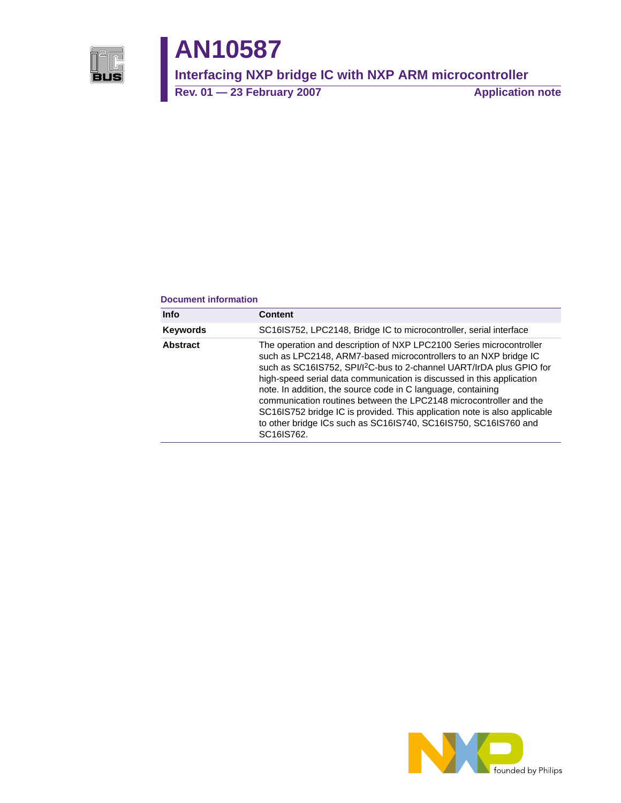

# **AN10587**

**Interfacing NXP bridge IC with NXP ARM microcontroller**

Rev. 01 — 23 February 2007 **Application note** 

#### **Document information**

| <b>Info</b>     | <b>Content</b>                                                                                                                                                                                                                                                                                                                                                                                                                                                                                                                                                                                           |
|-----------------|----------------------------------------------------------------------------------------------------------------------------------------------------------------------------------------------------------------------------------------------------------------------------------------------------------------------------------------------------------------------------------------------------------------------------------------------------------------------------------------------------------------------------------------------------------------------------------------------------------|
| <b>Keywords</b> | SC16IS752, LPC2148, Bridge IC to microcontroller, serial interface                                                                                                                                                                                                                                                                                                                                                                                                                                                                                                                                       |
| <b>Abstract</b> | The operation and description of NXP LPC2100 Series microcontroller<br>such as LPC2148, ARM7-based microcontrollers to an NXP bridge IC<br>such as SC16IS752, SPI/I <sup>2</sup> C-bus to 2-channel UART/IrDA plus GPIO for<br>high-speed serial data communication is discussed in this application<br>note. In addition, the source code in C language, containing<br>communication routines between the LPC2148 microcontroller and the<br>SC16IS752 bridge IC is provided. This application note is also applicable<br>to other bridge ICs such as SC16IS740, SC16IS750, SC16IS760 and<br>SC16IS762. |

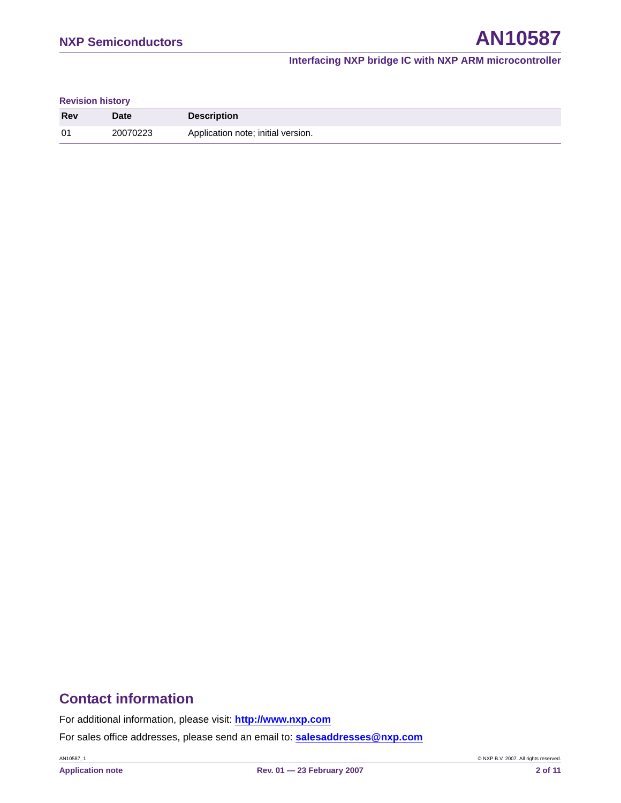#### **Revision history**

| <b>Rev</b> | <b>Date</b> | <b>Description</b>                 |
|------------|-------------|------------------------------------|
| 01         | 20070223    | Application note; initial version. |

# **Contact information**

For additional information, please visit: **http://www.nxp.com**

For sales office addresses, please send an email to: **salesaddresses@nxp.com**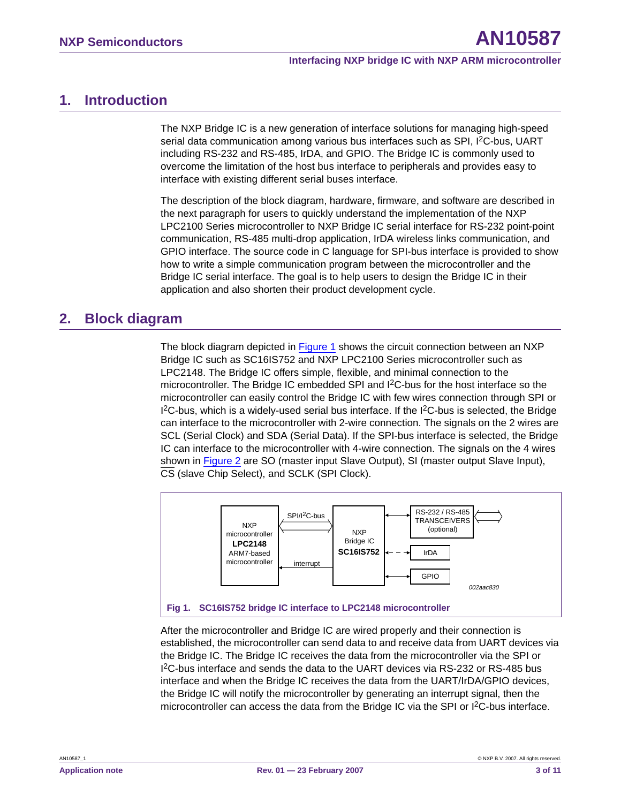# <span id="page-2-1"></span>**1. Introduction**

The NXP Bridge IC is a new generation of interface solutions for managing high-speed serial data communication among various bus interfaces such as SPI, I<sup>2</sup>C-bus, UART including RS-232 and RS-485, IrDA, and GPIO. The Bridge IC is commonly used to overcome the limitation of the host bus interface to peripherals and provides easy to interface with existing different serial buses interface.

The description of the block diagram, hardware, firmware, and software are described in the next paragraph for users to quickly understand the implementation of the NXP LPC2100 Series microcontroller to NXP Bridge IC serial interface for RS-232 point-point communication, RS-485 multi-drop application, IrDA wireless links communication, and GPIO interface. The source code in C language for SPI-bus interface is provided to show how to write a simple communication program between the microcontroller and the Bridge IC serial interface. The goal is to help users to design the Bridge IC in their application and also shorten their product development cycle.

# <span id="page-2-2"></span>**2. Block diagram**

The block diagram depicted in [Figure 1](#page-2-0) shows the circuit connection between an NXP Bridge IC such as SC16IS752 and NXP LPC2100 Series microcontroller such as LPC2148. The Bridge IC offers simple, flexible, and minimal connection to the microcontroller. The Bridge IC embedded SPI and I2C-bus for the host interface so the microcontroller can easily control the Bridge IC with few wires connection through SPI or  $1<sup>2</sup>C$ -bus, which is a widely-used serial bus interface. If the  $1<sup>2</sup>C$ -bus is selected, the Bridge can interface to the microcontroller with 2-wire connection. The signals on the 2 wires are SCL (Serial Clock) and SDA (Serial Data). If the SPI-bus interface is selected, the Bridge IC can interface to the microcontroller with 4-wire connection. The signals on the 4 wires shown in [Figure 2](#page-3-0) are SO (master input Slave Output), SI (master output Slave Input), CS (slave Chip Select), and SCLK (SPI Clock).



<span id="page-2-0"></span>After the microcontroller and Bridge IC are wired properly and their connection is established, the microcontroller can send data to and receive data from UART devices via the Bridge IC. The Bridge IC receives the data from the microcontroller via the SPI or I 2C-bus interface and sends the data to the UART devices via RS-232 or RS-485 bus interface and when the Bridge IC receives the data from the UART/IrDA/GPIO devices, the Bridge IC will notify the microcontroller by generating an interrupt signal, then the microcontroller can access the data from the Bridge IC via the SPI or  ${}^{12}C$ -bus interface.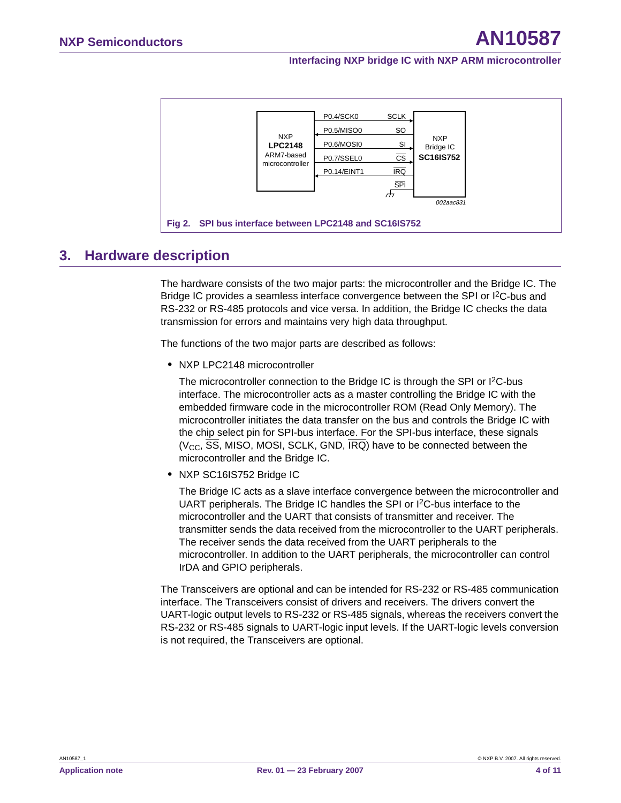|                                                        | <b>NXP</b><br><b>LPC2148</b><br>ARM7-based<br>microcontroller | P0.4/SCK0   | <b>SCLK</b>            | <b>NXP</b><br><b>Bridge IC</b><br><b>SC16IS752</b> |  |  |
|--------------------------------------------------------|---------------------------------------------------------------|-------------|------------------------|----------------------------------------------------|--|--|
|                                                        |                                                               | P0.5/MISO0  | <b>SO</b>              |                                                    |  |  |
|                                                        |                                                               | P0.6/MOSI0  | SI                     |                                                    |  |  |
|                                                        |                                                               | P0.7/SSEL0  | $\overline{\text{cs}}$ |                                                    |  |  |
|                                                        |                                                               | P0.14/EINT1 | <b>IRQ</b>             |                                                    |  |  |
|                                                        |                                                               |             | <b>SPI</b>             |                                                    |  |  |
|                                                        |                                                               |             | $\pi$                  | 002aac831                                          |  |  |
|                                                        |                                                               |             |                        |                                                    |  |  |
| Fig 2. SPI bus interface between LPC2148 and SC16IS752 |                                                               |             |                        |                                                    |  |  |

# <span id="page-3-1"></span>**3. Hardware description**

<span id="page-3-0"></span>The hardware consists of the two major parts: the microcontroller and the Bridge IC. The Bridge IC provides a seamless interface convergence between the SPI or I<sup>2</sup>C-bus and RS-232 or RS-485 protocols and vice versa. In addition, the Bridge IC checks the data transmission for errors and maintains very high data throughput.

The functions of the two major parts are described as follows:

**•** NXP LPC2148 microcontroller

The microcontroller connection to the Bridge IC is through the SPI or I<sup>2</sup>C-bus interface. The microcontroller acts as a master controlling the Bridge IC with the embedded firmware code in the microcontroller ROM (Read Only Memory). The microcontroller initiates the data transfer on the bus and controls the Bridge IC with the chip select pin for SPI-bus interface. For the SPI-bus interface, these signals ( $V<sub>CC</sub>$ , SS, MISO, MOSI, SCLK, GND, IRQ) have to be connected between the microcontroller and the Bridge IC.

**•** NXP SC16IS752 Bridge IC

The Bridge IC acts as a slave interface convergence between the microcontroller and UART peripherals. The Bridge IC handles the SPI or I2C-bus interface to the microcontroller and the UART that consists of transmitter and receiver. The transmitter sends the data received from the microcontroller to the UART peripherals. The receiver sends the data received from the UART peripherals to the microcontroller. In addition to the UART peripherals, the microcontroller can control IrDA and GPIO peripherals.

The Transceivers are optional and can be intended for RS-232 or RS-485 communication interface. The Transceivers consist of drivers and receivers. The drivers convert the UART-logic output levels to RS-232 or RS-485 signals, whereas the receivers convert the RS-232 or RS-485 signals to UART-logic input levels. If the UART-logic levels conversion is not required, the Transceivers are optional.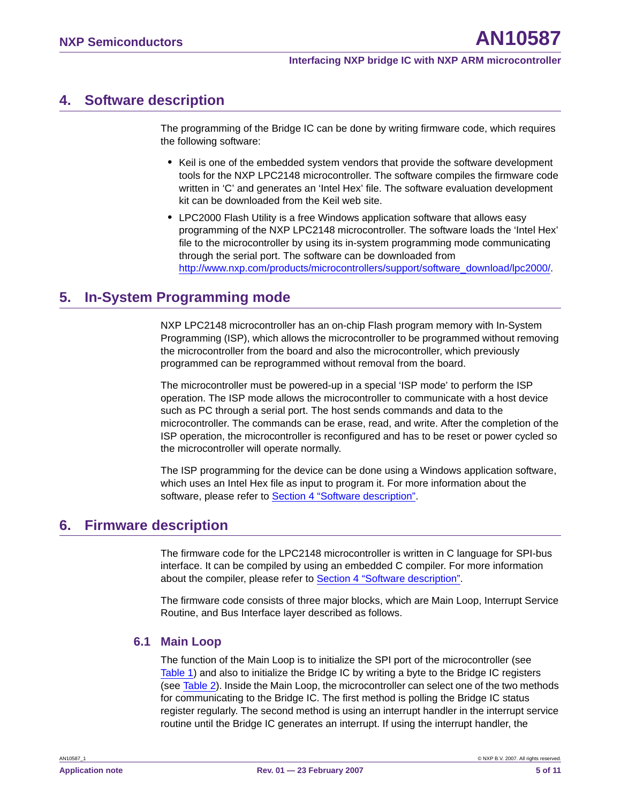# <span id="page-4-0"></span>**4. Software description**

The programming of the Bridge IC can be done by writing firmware code, which requires the following software:

- **•** Keil is one of the embedded system vendors that provide the software development tools for the NXP LPC2148 microcontroller. The software compiles the firmware code written in 'C' and generates an 'Intel Hex' file. The software evaluation development kit can be downloaded from the Keil web site.
- **•** LPC2000 Flash Utility is a free Windows application software that allows easy programming of the NXP LPC2148 microcontroller. The software loads the 'Intel Hex' file to the microcontroller by using its in-system programming mode communicating through the serial port. The software can be downloaded from [http://www.nxp.com/products/microcontrollers/support/software\\_download/lpc2000/.](http://www.nxp.com/products/microcontrollers/support/software_download/lpc2000/)

# <span id="page-4-1"></span>**5. In-System Programming mode**

NXP LPC2148 microcontroller has an on-chip Flash program memory with In-System Programming (ISP), which allows the microcontroller to be programmed without removing the microcontroller from the board and also the microcontroller, which previously programmed can be reprogrammed without removal from the board.

The microcontroller must be powered-up in a special 'ISP mode' to perform the ISP operation. The ISP mode allows the microcontroller to communicate with a host device such as PC through a serial port. The host sends commands and data to the microcontroller. The commands can be erase, read, and write. After the completion of the ISP operation, the microcontroller is reconfigured and has to be reset or power cycled so the microcontroller will operate normally.

The ISP programming for the device can be done using a Windows application software, which uses an Intel Hex file as input to program it. For more information about the software, please refer to [Section 4 "Software description".](#page-4-0)

# <span id="page-4-2"></span>**6. Firmware description**

The firmware code for the LPC2148 microcontroller is written in C language for SPI-bus interface. It can be compiled by using an embedded C compiler. For more information about the compiler, please refer to [Section 4 "Software description".](#page-4-0)

The firmware code consists of three major blocks, which are Main Loop, Interrupt Service Routine, and Bus Interface layer described as follows.

## <span id="page-4-3"></span>**6.1 Main Loop**

The function of the Main Loop is to initialize the SPI port of the microcontroller (see [Table 1\)](#page-5-0) and also to initialize the Bridge IC by writing a byte to the Bridge IC registers (see [Table 2\)](#page-6-0). Inside the Main Loop, the microcontroller can select one of the two methods for communicating to the Bridge IC. The first method is polling the Bridge IC status register regularly. The second method is using an interrupt handler in the interrupt service routine until the Bridge IC generates an interrupt. If using the interrupt handler, the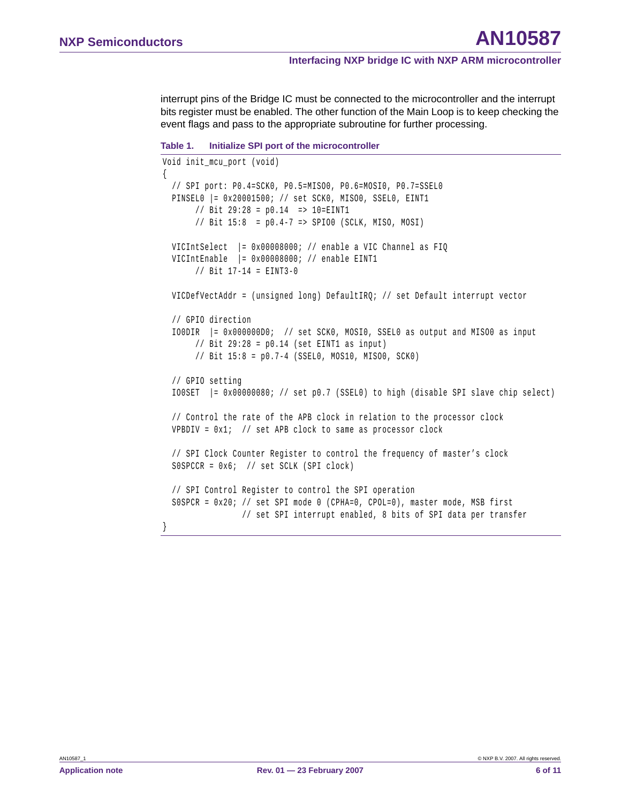interrupt pins of the Bridge IC must be connected to the microcontroller and the interrupt bits register must be enabled. The other function of the Main Loop is to keep checking the event flags and pass to the appropriate subroutine for further processing.

```
Table 1. Initialize SPI port of the microcontroller
```

```
Void init_mcu_port (void) 
{
  // SPI port: P0.4=SCK0, P0.5=MISO0, P0.6=MOSI0, P0.7=SSEL0
 PINSEL0 |= 0x20001500; // set SCK0, MISO0, SSEL0, EINT1
       // Bit 29:28 = p0.14 => 10=EINT1
       // Bit 15:8 = p0.4-7 => SPIO0 (SCLK, MISO, MOSI)
 VICIntSelect |= 0x00008000; // enable a VIC Channel as FIQ
 VICIntEnable |= 0x00008000; // enable EINT1
       // Bit 17-14 = EINT3-0
 VICDefVectAddr = (unsigned long) DefaultIRQ; // set Default interrupt vector
  // GPIO direction
 IO0DIR |= 0x000000D0; // set SCK0, MOSI0, SSEL0 as output and MISO0 as input
      // Bit 29:28 = p0.14 (set EINT1 as input)
       // Bit 15:8 = p0.7-4 (SSEL0, MOS10, MISO0, SCK0)
  // GPIO setting 
  IO0SET |= 0x00000080; // set p0.7 (SSEL0) to high (disable SPI slave chip select)
  // Control the rate of the APB clock in relation to the processor clock
 VPBDIV = 0x1; // set APB clock to same as processor clock
  // SPI Clock Counter Register to control the frequency of master's clock
 S0SPCCR = 0x6; // set SCLK (SPI clock)
  // SPI Control Register to control the SPI operation
 S0SPCR = 0x20; // set SPI mode 0 (CPHA=0, CPOL=0), master mode, MSB first
                // set SPI interrupt enabled, 8 bits of SPI data per transfer
```
}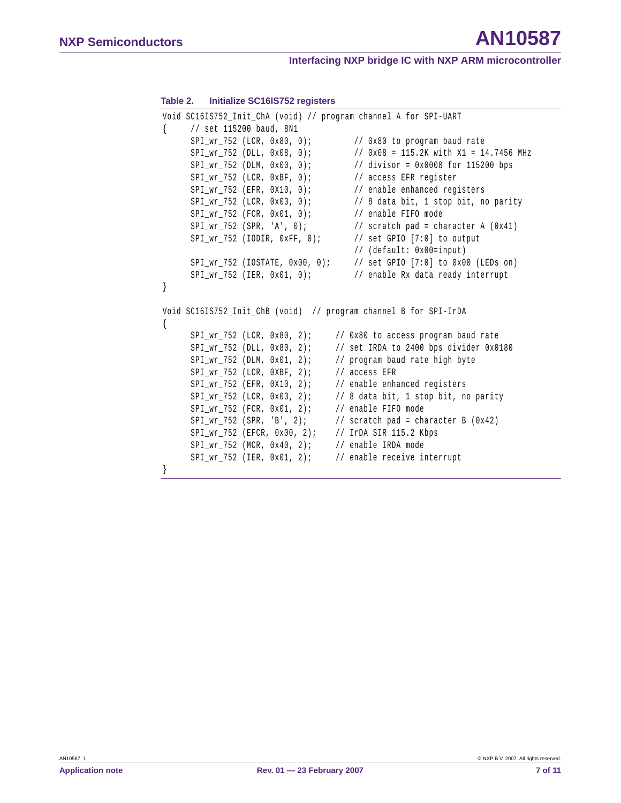#### <span id="page-6-0"></span>**Table 2. Initialize SC16IS752 registers**

```
Void SC16IS752_Init_ChA (void) // program channel A for SPI-UART
{ // set 115200 baud, 8N1
     SPI_wr_752 (LCR, 0x80, 0); // 0x80 to program baud rate
     SPI_wr_752 (DLL, 0x08, 0); // 0x08 = 115.2K with X1 = 14.7456 MHz
     SPI_wr_752 (DLM, 0x00, 0); // divisor = 0x0008 for 115200 bps
     SPI_wr_752 (LCR, 0xBF, 0); // access EFR register
     SPI_wr_752 (EFR, 0X10, 0); // enable enhanced registers
     SPI_wr_752 (LCR, 0x03, 0); // 8 data bit, 1 stop bit, no parity
     SPI_wr_752 (FCR, 0x01, 0); // enable FIFO mode
     SPI_Wr_752 (SPR, 'A', 0); // scratch pad = character A (0x41)
     SPI\_wr\_752 (IODIR, 0xFF, 0); // set GPIO [7:0] to output
                                     // (default: 0x00=input)
     SPI_wr_752 (IOSTATE, 0x00, 0); // set GPIO [7:0] to 0x00 (LEDs on)
     SPI_wr_752 (IER, 0x01, 0); // enable Rx data ready interrupt
}
Void SC16IS752_Init_ChB (void) // program channel B for SPI-IrDA
{
     SPI_wr_752 (LCR, 0x80, 2); // 0x80 to access program baud rate
     SPI_wr_752 (DLL, 0x80, 2); // set IRDA to 2400 bps divider 0x0180
     SPI_wr_752 (DLM, 0x01, 2); // program baud rate high byte
     SPI_wr_752 (LCR, 0XBF, 2); // access EFR
     SPI_wr_752 (EFR, 0X10, 2); // enable enhanced registers
     SPI_wr_752 (LCR, 0x03, 2); // 8 data bit, 1 stop bit, no parity
     SPI\_wr_752 (FCR, 0x01, 2); // enable FIFO mode
     SPI\_wr\_752 (SPR, 'B', 2); // scratch pad = character B (0x42)
     SPI_wr_752 (EFCR, 0x00, 2); // IrDA SIR 115.2 Kbps
     SPI_wr_752 (MCR, 0x40, 2); // enable IRDA mode
     SPI_wr_752 (IER, 0x01, 2); // enable receive interrupt
}
```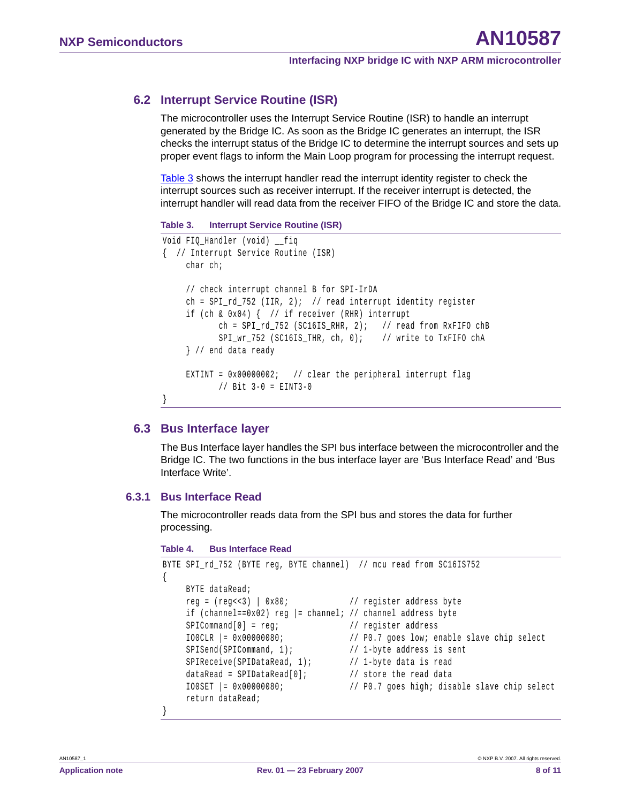## <span id="page-7-1"></span>**6.2 Interrupt Service Routine (ISR)**

The microcontroller uses the Interrupt Service Routine (ISR) to handle an interrupt generated by the Bridge IC. As soon as the Bridge IC generates an interrupt, the ISR checks the interrupt status of the Bridge IC to determine the interrupt sources and sets up proper event flags to inform the Main Loop program for processing the interrupt request.

[Table 3](#page-7-0) shows the interrupt handler read the interrupt identity register to check the interrupt sources such as receiver interrupt. If the receiver interrupt is detected, the interrupt handler will read data from the receiver FIFO of the Bridge IC and store the data.

```
Table 3. Interrupt Service Routine (ISR)
```

```
Void FIQ Handler (void) fiq
{ // Interrupt Service Routine (ISR)
    char ch;
    // check interrupt channel B for SPI-IrDA
    ch = SPI_rd_752 (IIR, 2); // read interrupt identity register
    if (ch & 0x04) { // if receiver (RHR) interrupt
           ch = SPI rd 752 (SC16IS RHR, 2); // read from RxFIFO chB
           SPI_wr_752 (SC16IS_THR, ch, 0); // write to TxFIFO chA
    } // end data ready
    EXTINT = 0x00000002; // clear the peripheral interrupt flag
           // Bit 3-0 = EINT3-0
}
```
## <span id="page-7-2"></span>**6.3 Bus Interface layer**

The Bus Interface layer handles the SPI bus interface between the microcontroller and the Bridge IC. The two functions in the bus interface layer are 'Bus Interface Read' and 'Bus Interface Write'.

## <span id="page-7-3"></span>**6.3.1 Bus Interface Read**

The microcontroller reads data from the SPI bus and stores the data for further processing.

```
Table 4. Bus Interface Read
```

```
BYTE SPI rd 752 (BYTE reg, BYTE channel) // mcu read from SC16IS752
{
    BYTE dataRead;
    reg = (reg<<3) | 0x80; // register address byte
    if (channel==0x02) reg |= channel; // channel address byte
    SPICommand[0] = reg; // register address
    IO0CLR |= 0x00000080; // P0.7 goes low; enable slave chip select
    SPISend(SPICommand, 1); // 1-byte address is sent
    SPIReceive(SPIDataRead, 1); // 1-byte data is read
    dataRead = SPIDataRead[0]; \frac{1}{1} store the read data
    IO0SET |= 0x00000080; // P0.7 goes high; disable slave chip select
    return dataRead;
}
```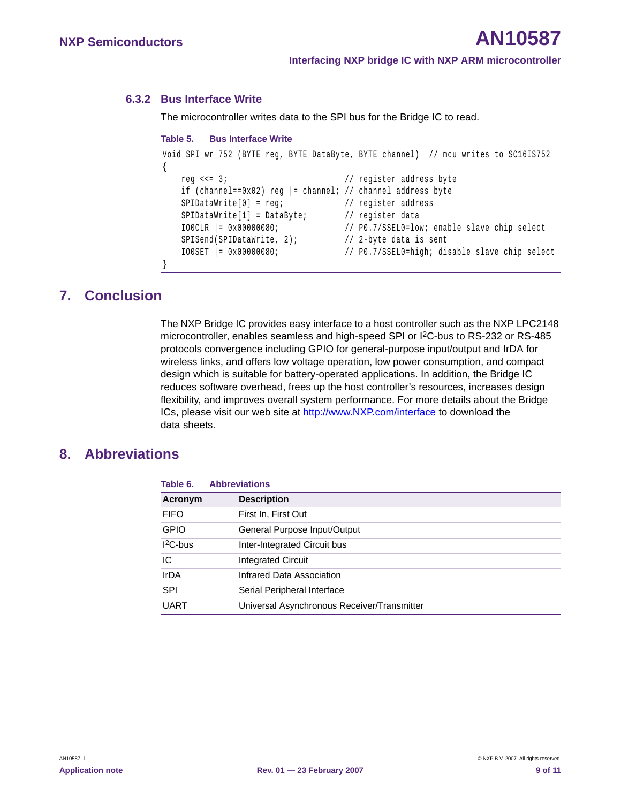#### <span id="page-8-0"></span>**6.3.2 Bus Interface Write**

The microcontroller writes data to the SPI bus for the Bridge IC to read.

```
Table 5. Bus Interface Write
```

```
Void SPI_wr_752 (BYTE reg, BYTE DataByte, BYTE channel) // mcu writes to SC16IS752
{
   reg <<= 3; \frac{1}{2} // register address byte
   if (channel==0x02) reg |= channel; // channel address byte
   SPIDataWrite[0] = reg; // register address
   SPIDataWrite[1] = DataByte; // register data
   IO0CLR |= 0x00000080; // P0.7/SSEL0=low; enable slave chip select
   SPISend(SPIDataWrite, 2); // 2-byte data is sent
   IO0SET |= 0x00000080; // P0.7/SSEL0=high; disable slave chip select
}
```
# <span id="page-8-1"></span>**7. Conclusion**

The NXP Bridge IC provides easy interface to a host controller such as the NXP LPC2148 microcontroller, enables seamless and high-speed SPI or I2C-bus to RS-232 or RS-485 protocols convergence including GPIO for general-purpose input/output and IrDA for wireless links, and offers low voltage operation, low power consumption, and compact design which is suitable for battery-operated applications. In addition, the Bridge IC reduces software overhead, frees up the host controller's resources, increases design flexibility, and improves overall system performance. For more details about the Bridge ICs, please visit our web site at <http://www.NXP.com/interface>to download the data sheets.

## <span id="page-8-2"></span>**8. Abbreviations**

| Table 6.       | <b>Abbreviations</b>                        |  |
|----------------|---------------------------------------------|--|
| <b>Acronym</b> | <b>Description</b>                          |  |
| <b>FIFO</b>    | First In, First Out                         |  |
| <b>GPIO</b>    | General Purpose Input/Output                |  |
| $12C$ -bus     | Inter-Integrated Circuit bus                |  |
| IС             | <b>Integrated Circuit</b>                   |  |
| <b>IrDA</b>    | Infrared Data Association                   |  |
| <b>SPI</b>     | Serial Peripheral Interface                 |  |
| <b>UART</b>    | Universal Asynchronous Receiver/Transmitter |  |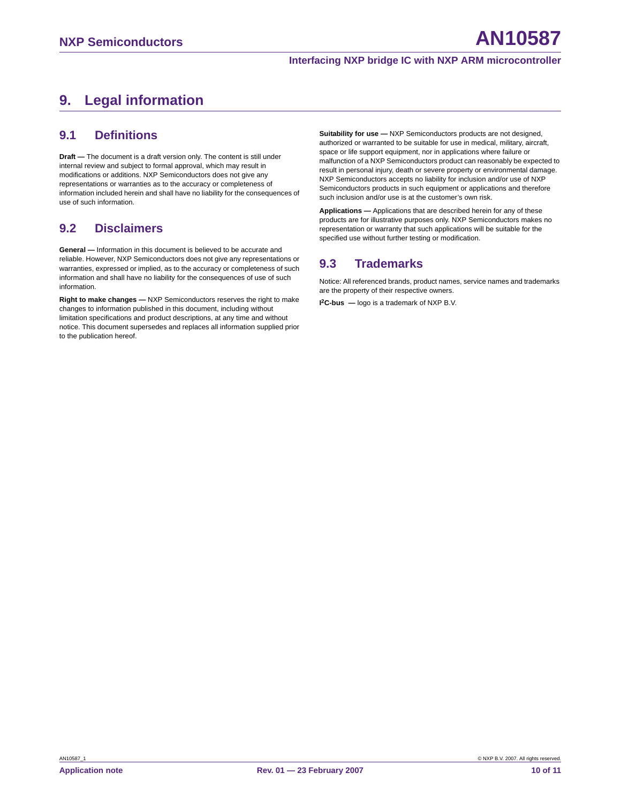# <span id="page-9-0"></span>**9. Legal information**

#### <span id="page-9-1"></span>**9.1 Definitions**

**Draft —** The document is a draft version only. The content is still under internal review and subject to formal approval, which may result in modifications or additions. NXP Semiconductors does not give any representations or warranties as to the accuracy or completeness of information included herein and shall have no liability for the consequences of use of such information.

## <span id="page-9-2"></span>**9.2 Disclaimers**

**General —** Information in this document is believed to be accurate and reliable. However, NXP Semiconductors does not give any representations or warranties, expressed or implied, as to the accuracy or completeness of such information and shall have no liability for the consequences of use of such information.

**Right to make changes —** NXP Semiconductors reserves the right to make changes to information published in this document, including without limitation specifications and product descriptions, at any time and without notice. This document supersedes and replaces all information supplied prior to the publication hereof.

**Suitability for use —** NXP Semiconductors products are not designed, authorized or warranted to be suitable for use in medical, military, aircraft, space or life support equipment, nor in applications where failure or malfunction of a NXP Semiconductors product can reasonably be expected to result in personal injury, death or severe property or environmental damage. NXP Semiconductors accepts no liability for inclusion and/or use of NXP Semiconductors products in such equipment or applications and therefore such inclusion and/or use is at the customer's own risk.

**Applications —** Applications that are described herein for any of these products are for illustrative purposes only. NXP Semiconductors makes no representation or warranty that such applications will be suitable for the specified use without further testing or modification.

## <span id="page-9-3"></span>**9.3 Trademarks**

Notice: All referenced brands, product names, service names and trademarks are the property of their respective owners.

**I 2C-bus —** logo is a trademark of NXP B.V.